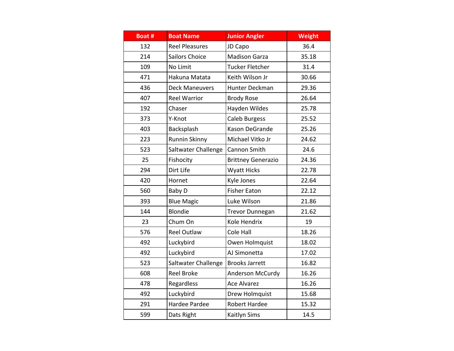| Boat # | <b>Boat Name</b>      | <b>Junior Angler</b>      | <b>Weight</b> |
|--------|-----------------------|---------------------------|---------------|
| 132    | <b>Reel Pleasures</b> | JD Capo                   | 36.4          |
| 214    | Sailors Choice        | <b>Madison Garza</b>      | 35.18         |
| 109    | No Limit              | Tucker Fletcher           | 31.4          |
| 471    | Hakuna Matata         | Keith Wilson Jr           | 30.66         |
| 436    | <b>Deck Maneuvers</b> | Hunter Deckman            | 29.36         |
| 407    | <b>Reel Warrior</b>   | <b>Brody Rose</b>         | 26.64         |
| 192    | Chaser                | Hayden Wildes             | 25.78         |
| 373    | Y-Knot                | Caleb Burgess             | 25.52         |
| 403    | Backsplash            | Kason DeGrande            | 25.26         |
| 223    | Runnin Skinny         | Michael Vitko Jr          | 24.62         |
| 523    | Saltwater Challenge   | Cannon Smith              | 24.6          |
| 25     | Fishocity             | <b>Brittney Generazio</b> | 24.36         |
| 294    | Dirt Life             | <b>Wyatt Hicks</b>        | 22.78         |
| 420    | Hornet                | Kyle Jones                | 22.64         |
| 560    | Baby D                | <b>Fisher Eaton</b>       | 22.12         |
| 393    | <b>Blue Magic</b>     | Luke Wilson               | 21.86         |
| 144    | Blondie               | <b>Trevor Dunnegan</b>    | 21.62         |
| 23     | Chum On               | Kole Hendrix              | 19            |
| 576    | <b>Reel Outlaw</b>    | Cole Hall                 | 18.26         |
| 492    | Luckybird             | Owen Holmquist            | 18.02         |
| 492    | Luckybird             | AJ Simonetta              | 17.02         |
| 523    | Saltwater Challenge   | <b>Brooks Jarrett</b>     | 16.82         |
| 608    | <b>Reel Broke</b>     | Anderson McCurdy          | 16.26         |
| 478    | Regardless            | <b>Ace Alvarez</b>        | 16.26         |
| 492    | Luckybird             | Drew Holmquist            | 15.68         |
| 291    | Hardee Pardee         | <b>Robert Hardee</b>      | 15.32         |
| 599    | Dats Right            | Kaitlyn Sims              | 14.5          |